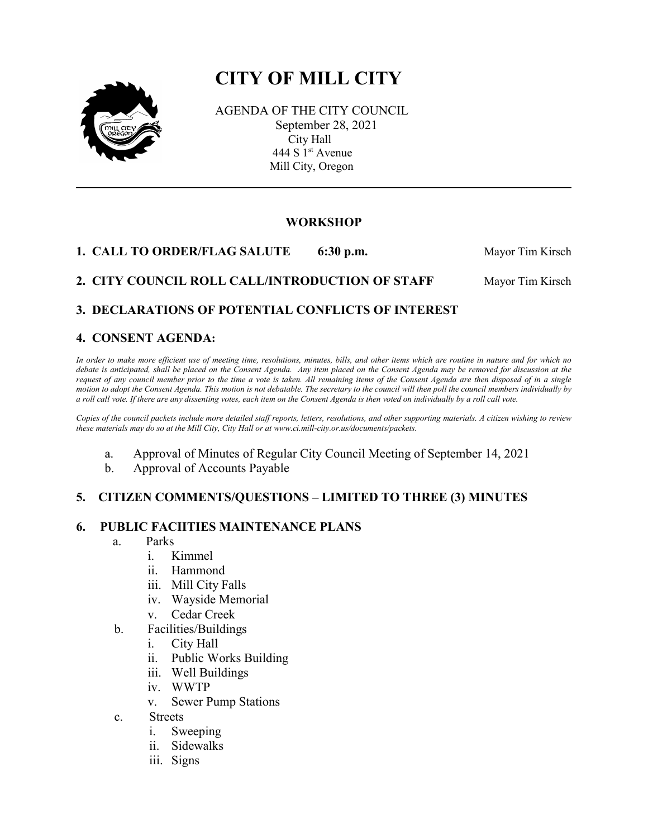# **CITY OF MILL CITY**



 AGENDA OF THE CITY COUNCIL September 28, 2021 City Hall 444 S 1<sup>st</sup> Avenue Mill City, Oregon

# **WORKSHOP**

**1. CALL TO ORDER/FLAG SALUTE** 6:30 p.m. Mayor Tim Kirsch

# **2. CITY COUNCIL ROLL CALL/INTRODUCTION OF STAFF Mayor Tim Kirsch**

# **3. DECLARATIONS OF POTENTIAL CONFLICTS OF INTEREST**

# **4. CONSENT AGENDA:**

*In order to make more efficient use of meeting time, resolutions, minutes, bills, and other items which are routine in nature and for which no debate is anticipated, shall be placed on the Consent Agenda. Any item placed on the Consent Agenda may be removed for discussion at the request of any council member prior to the time a vote is taken. All remaining items of the Consent Agenda are then disposed of in a single motion to adopt the Consent Agenda. This motion is not debatable. The secretary to the council will then poll the council members individually by a roll call vote. If there are any dissenting votes, each item on the Consent Agenda is then voted on individually by a roll call vote.*

*Copies of the council packets include more detailed staff reports, letters, resolutions, and other supporting materials. A citizen wishing to review these materials may do so at the Mill City, City Hall or at www.ci.mill-city.or.us/documents/packets.*

- a. Approval of Minutes of Regular City Council Meeting of September 14, 2021
- b. Approval of Accounts Payable

#### **5. CITIZEN COMMENTS/QUESTIONS – LIMITED TO THREE (3) MINUTES**

#### **6. PUBLIC FACIITIES MAINTENANCE PLANS**

- a. Parks
	- i. Kimmel
	- ii. Hammond
	- iii. Mill City Falls
	- iv. Wayside Memorial
	- v. Cedar Creek
- b. Facilities/Buildings
	- i. City Hall
	- ii. Public Works Building
	- iii. Well Buildings
	- iv. WWTP
	- v. Sewer Pump Stations
- c. Streets
	- i. Sweeping
	- ii. Sidewalks
	- iii. Signs